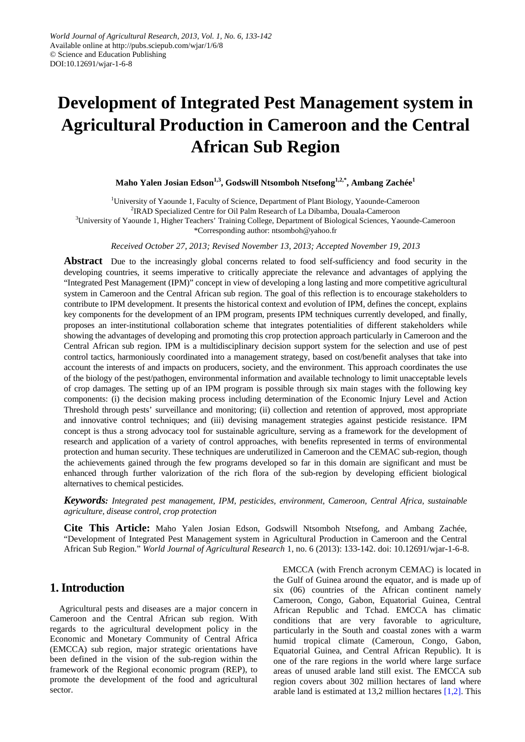# **Development of Integrated Pest Management system in Agricultural Production in Cameroon and the Central African Sub Region**

## **Maho Yalen Josian Edson1,3, Godswill Ntsomboh Ntsefong1,2,\* , Ambang Zachée<sup>1</sup>**

<sup>1</sup>University of Yaounde 1, Faculty of Science, Department of Plant Biology, Yaounde-Cameroon <sup>2</sup>IRAD Specialized Centre for Oil Palm Research of La Dibamba, Douala-Cameroon 3 University of Yaounde 1, Higher Teachers' Training College, Department of Biological Sciences, Yaounde-Cameroon \*Corresponding author: ntsomboh@yahoo.fr

*Received October 27, 2013; Revised November 13, 2013; Accepted November 19, 2013*

**Abstract** Due to the increasingly global concerns related to food self-sufficiency and food security in the developing countries, it seems imperative to critically appreciate the relevance and advantages of applying the "Integrated Pest Management (IPM)" concept in view of developing a long lasting and more competitive agricultural system in Cameroon and the Central African sub region. The goal of this reflection is to encourage stakeholders to contribute to IPM development. It presents the historical context and evolution of IPM, defines the concept, explains key components for the development of an IPM program, presents IPM techniques currently developed, and finally, proposes an inter-institutional collaboration scheme that integrates potentialities of different stakeholders while showing the advantages of developing and promoting this crop protection approach particularly in Cameroon and the Central African sub region. IPM is a multidisciplinary decision support system for the selection and use of pest control tactics, harmoniously coordinated into a management strategy, based on cost/benefit analyses that take into account the interests of and impacts on producers, society, and the environment. This approach coordinates the use of the biology of the pest/pathogen, environmental information and available technology to limit unacceptable levels of crop damages. The setting up of an IPM program is possible through six main stages with the following key components: (i) the decision making process including determination of the Economic Injury Level and Action Threshold through pests' surveillance and monitoring; (ii) collection and retention of approved, most appropriate and innovative control techniques; and (iii) devising management strategies against pesticide resistance. IPM concept is thus a strong advocacy tool for sustainable agriculture, serving as a framework for the development of research and application of a variety of control approaches, with benefits represented in terms of environmental protection and human security. These techniques are underutilized in Cameroon and the CEMAC sub-region, though the achievements gained through the few programs developed so far in this domain are significant and must be enhanced through further valorization of the rich flora of the sub-region by developing efficient biological alternatives to chemical pesticides.

*Keywords: Integrated pest management, IPM, pesticides, environment, Cameroon, Central Africa, sustainable agriculture, disease control, crop protection*

**Cite This Article:** Maho Yalen Josian Edson, Godswill Ntsomboh Ntsefong, and Ambang Zachée, "Development of Integrated Pest Management system in Agricultural Production in Cameroon and the Central African Sub Region." *World Journal of Agricultural Research* 1, no. 6 (2013): 133-142. doi: 10.12691/wjar-1-6-8.

# **1. Introduction**

Agricultural pests and diseases are a major concern in Cameroon and the Central African sub region. With regards to the agricultural development policy in the Economic and Monetary Community of Central Africa (EMCCA) sub region, major strategic orientations have been defined in the vision of the sub-region within the framework of the Regional economic program (REP), to promote the development of the food and agricultural sector.

EMCCA (with French acronym CEMAC) is located in the Gulf of Guinea around the equator, and is made up of six (06) countries of the African continent namely Cameroon, Congo, Gabon, Equatorial Guinea, Central African Republic and Tchad. EMCCA has climatic conditions that are very favorable to agriculture, particularly in the South and coastal zones with a warm humid tropical climate (Cameroun, Congo, Gabon, Equatorial Guinea, and Central African Republic). It is one of the rare regions in the world where large surface areas of unused arable land still exist. The EMCCA sub region covers about 302 million hectares of land where arable land is estimated at 13,2 million hectare[s \[1,2\].](#page-8-0) This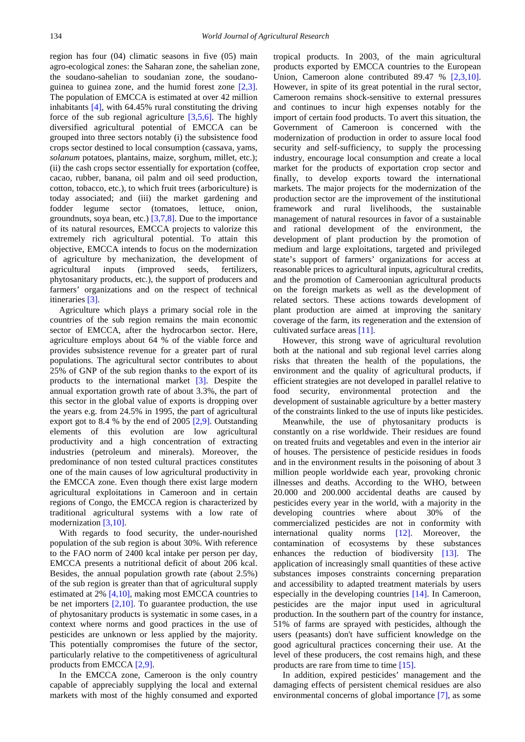region has four (04) climatic seasons in five (05) main agro-ecological zones: the Saharan zone, the sahelian zone, the soudano-sahelian to soudanian zone, the soudanoguinea to guinea zone, and the humid forest zone [\[2,3\].](#page-8-1) The population of EMCCA is estimated at over 42 million inhabitants [\[4\],](#page-8-2) with 64.45% rural constituting the driving force of the sub regional agriculture [\[3,5,6\].](#page-8-3) The highly diversified agricultural potential of EMCCA can be grouped into three sectors notably (i) the subsistence food crops sector destined to local consumption (cassava, yams, *solanum* potatoes, plantains, maize, sorghum, millet, etc.); (ii) the cash crops sector essentially for exportation (coffee, cacao, rubber, banana, oil palm and oil seed production, cotton, tobacco, etc.), to which fruit trees (arboriculture) is today associated; and (iii) the market gardening and fodder legume sector (tomatoes, lettuce, onion, groundnuts, soya bean, etc.) [\[3,7,8\].](#page-8-3) Due to the importance of its natural resources, EMCCA projects to valorize this extremely rich agricultural potential. To attain this objective, EMCCA intends to focus on the modernization of agriculture by mechanization, the development of agricultural inputs (improved seeds, fertilizers, phytosanitary products, etc.), the support of producers and farmers' organizations and on the respect of technical itineraries [\[3\].](#page-8-3)

Agriculture which plays a primary social role in the countries of the sub region remains the main economic sector of EMCCA, after the hydrocarbon sector. Here, agriculture employs about 64 % of the viable force and provides subsistence revenue for a greater part of rural populations. The agricultural sector contributes to about 25% of GNP of the sub region thanks to the export of its products to the international market [\[3\].](#page-8-3) Despite the annual exportation growth rate of about 3.3%, the part of this sector in the global value of exports is dropping over the years e.g. from 24.5% in 1995, the part of agricultural export got to 8.4 % by the end of 2005 [\[2,9\].](#page-8-1) Outstanding elements of this evolution are low agricultural productivity and a high concentration of extracting industries (petroleum and minerals). Moreover, the predominance of non tested cultural practices constitutes one of the main causes of low agricultural productivity in the EMCCA zone. Even though there exist large modern agricultural exploitations in Cameroon and in certain regions of Congo, the EMCCA region is characterized by traditional agricultural systems with a low rate of modernization [\[3,10\].](#page-8-3)

With regards to food security, the under-nourished population of the sub region is about 30%. With reference to the FAO norm of 2400 kcal intake per person per day, EMCCA presents a nutritional deficit of about 206 kcal. Besides, the annual population growth rate (about 2.5%) of the sub region is greater than that of agricultural supply estimated at 2% [\[4,10\],](#page-8-2) making most EMCCA countries to be net importers  $[2,10]$ . To guarantee production, the use of phytosanitary products is systematic in some cases, in a context where norms and good practices in the use of pesticides are unknown or less applied by the majority. This potentially compromises the future of the sector, particularly relative to the competitiveness of agricultural products from EMCCA [\[2,9\].](#page-8-1)

In the EMCCA zone, Cameroon is the only country capable of appreciably supplying the local and external markets with most of the highly consumed and exported tropical products. In 2003, of the main agricultural products exported by EMCCA countries to the European Union, Cameroon alone contributed 89.47 % [\[2,3,10\].](#page-8-1) However, in spite of its great potential in the rural sector, Cameroon remains shock-sensitive to external pressures and continues to incur high expenses notably for the import of certain food products. To avert this situation, the Government of Cameroon is concerned with the modernization of production in order to assure local food security and self-sufficiency, to supply the processing industry, encourage local consumption and create a local market for the products of exportation crop sector and finally, to develop exports toward the international markets. The major projects for the modernization of the production sector are the improvement of the institutional framework and rural livelihoods, the sustainable management of natural resources in favor of a sustainable and rational development of the environment, the development of plant production by the promotion of medium and large exploitations, targeted and privileged state's support of farmers' organizations for access at reasonable prices to agricultural inputs, agricultural credits, and the promotion of Cameroonian agricultural products on the foreign markets as well as the development of related sectors. These actions towards development of plant production are aimed at improving the sanitary coverage of the farm, its regeneration and the extension of cultivated surface areas [\[11\].](#page-8-4)

However, this strong wave of agricultural revolution both at the national and sub regional level carries along risks that threaten the health of the populations, the environment and the quality of agricultural products, if efficient strategies are not developed in parallel relative to food security, environmental protection and the development of sustainable agriculture by a better mastery of the constraints linked to the use of inputs like pesticides.

Meanwhile, the use of phytosanitary products is constantly on a rise worldwide. Their residues are found on treated fruits and vegetables and even in the interior air of houses. The persistence of pesticide residues in foods and in the environment results in the poisoning of about 3 million people worldwide each year, provoking chronic illnesses and deaths. According to the WHO, between 20.000 and 200.000 accidental deaths are caused by pesticides every year in the world, with a majority in the developing countries where about 30% of the commercialized pesticides are not in conformity with international quality norms [\[12\].](#page-8-5) Moreover, the contamination of ecosystems by these substances enhances the reduction of biodiversity [\[13\].](#page-8-6) The application of increasingly small quantities of these active substances imposes constraints concerning preparation and accessibility to adapted treatment materials by users especially in the developing countries [\[14\].](#page-8-7) In Cameroon, pesticides are the major input used in agricultural production. In the southern part of the country for instance, 51% of farms are sprayed with pesticides, although the users (peasants) don't have sufficient knowledge on the good agricultural practices concerning their use. At the level of these producers, the cost remains high, and these products are rare from time to tim[e \[15\].](#page-8-8)

In addition, expired pesticides' management and the damaging effects of persistent chemical residues are also environmental concerns of global importance [\[7\],](#page-8-9) as some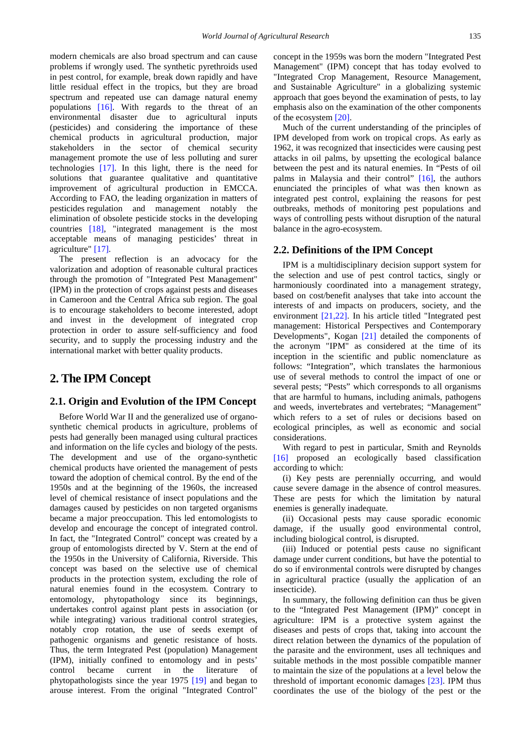modern chemicals are also broad spectrum and can cause problems if wrongly used. The synthetic pyrethroids used in pest control, for example, break down rapidly and have little residual effect in the tropics, but they are broad spectrum and repeated use can damage natural enemy populations [\[16\].](#page-8-10) With regards to the threat of an environmental disaster due to agricultural inputs (pesticides) and considering the importance of these chemical products in agricultural production, major stakeholders in the sector of chemical security management promote the use of less polluting and surer technologies [\[17\].](#page-8-11) In this light, there is the need for solutions that guarantee qualitative and quantitative improvement of agricultural production in EMCCA. According to FAO, the leading organization in matters of pesticides regulation and management notably the elimination of obsolete pesticide stocks in the developing countries [\[18\],](#page-8-12) "integrated management is the most acceptable means of managing pesticides' threat in agriculture" [\[17\].](#page-8-11)

The present reflection is an advocacy for the valorization and adoption of reasonable cultural practices through the promotion of "Integrated Pest Management" (IPM) in the protection of crops against pests and diseases in Cameroon and the Central Africa sub region. The goal is to encourage stakeholders to become interested, adopt and invest in the development of integrated crop protection in order to assure self-sufficiency and food security, and to supply the processing industry and the international market with better quality products.

# **2. The IPM Concept**

## **2.1. Origin and Evolution of the IPM Concept**

Before World War II and the generalized use of organosynthetic chemical products in agriculture, problems of pests had generally been managed using cultural practices and information on the life cycles and biology of the pests. The development and use of the organo-synthetic chemical products have oriented the management of pests toward the adoption of chemical control. By the end of the 1950s and at the beginning of the 1960s, the increased level of chemical resistance of insect populations and the damages caused by pesticides on non targeted organisms became a major preoccupation. This led entomologists to develop and encourage the concept of integrated control. In fact, the "Integrated Control" concept was created by a group of entomologists directed by V. Stern at the end of the 1950s in the University of California, Riverside. This concept was based on the selective use of chemical products in the protection system, excluding the role of natural enemies found in the ecosystem. Contrary to entomology, phytopathology since its beginnings, undertakes control against plant pests in association (or while integrating) various traditional control strategies, notably crop rotation, the use of seeds exempt of pathogenic organisms and genetic resistance of hosts. Thus, the term Integrated Pest (population) Management (IPM), initially confined to entomology and in pests' control became current in the literature of phytopathologists since the year 1975 [\[19\]](#page-8-13) and began to arouse interest. From the original "Integrated Control"

concept in the 1959s was born the modern "Integrated Pest Management" (IPM) concept that has today evolved to "Integrated Crop Management, Resource Management, and Sustainable Agriculture" in a globalizing systemic approach that goes beyond the examination of pests, to lay emphasis also on the examination of the other components of the ecosystem [\[20\].](#page-8-14)

Much of the current understanding of the principles of IPM developed from work on tropical crops. As early as 1962, it was recognized that insecticides were causing pest attacks in oil palms, by upsetting the ecological balance between the pest and its natural enemies. In "Pests of oil palms in Malaysia and their control" [\[16\],](#page-8-10) the authors enunciated the principles of what was then known as integrated pest control, explaining the reasons for pest outbreaks, methods of monitoring pest populations and ways of controlling pests without disruption of the natural balance in the agro-ecosystem.

## **2.2. Definitions of the IPM Concept**

IPM is a multidisciplinary decision support system for the selection and use of pest control tactics, singly or harmoniously coordinated into a management strategy, based on cost/benefit analyses that take into account the interests of and impacts on producers, society, and the environment [\[21,22\].](#page-8-15) In his article titled "Integrated pest management: Historical Perspectives and Contemporary Developments", Kogan [\[21\]](#page-8-15) detailed the components of the acronym "IPM" as considered at the time of its inception in the scientific and public nomenclature as follows: "Integration", which translates the harmonious use of several methods to control the impact of one or several pests; "Pests" which corresponds to all organisms that are harmful to humans, including animals, pathogens and weeds, invertebrates and vertebrates; "Management" which refers to a set of rules or decisions based on ecological principles, as well as economic and social considerations.

With regard to pest in particular, Smith and Reynolds [\[16\]](#page-8-10) proposed an ecologically based classification according to which:

(i) Key pests are perennially occurring, and would cause severe damage in the absence of control measures. These are pests for which the limitation by natural enemies is generally inadequate.

(ii) Occasional pests may cause sporadic economic damage, if the usually good environmental control, including biological control, is disrupted.

(iii) Induced or potential pests cause no significant damage under current conditions, but have the potential to do so if environmental controls were disrupted by changes in agricultural practice (usually the application of an insecticide).

In summary, the following definition can thus be given to the "Integrated Pest Management (IPM)" concept in agriculture: IPM is a protective system against the diseases and pests of crops that, taking into account the direct relation between the dynamics of the population of the parasite and the environment, uses all techniques and suitable methods in the most possible compatible manner to maintain the size of the populations at a level below the threshold of important economic damages [\[23\].](#page-8-16) IPM thus coordinates the use of the biology of the pest or the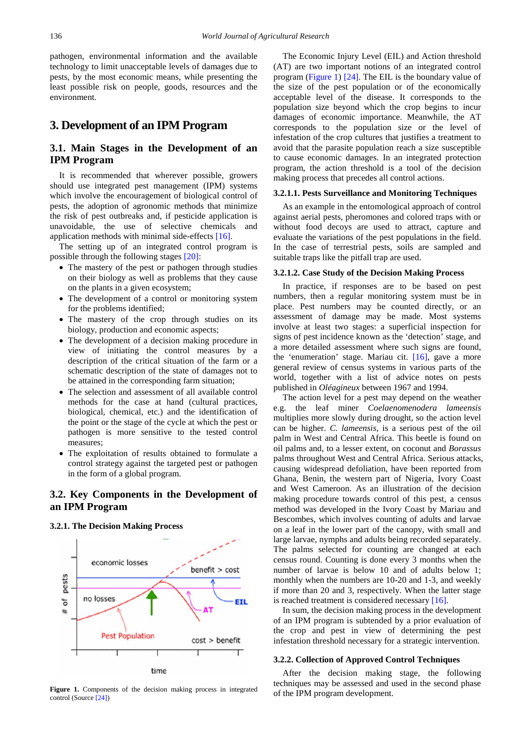pathogen, environmental information and the available technology to limit unacceptable levels of damages due to pests, by the most economic means, while presenting the least possible risk on people, goods, resources and the environment.

# **3. Development of an IPM Program**

## **3.1. Main Stages in the Development of an IPM Program**

It is recommended that wherever possible, growers should use integrated pest management (IPM) systems which involve the encouragement of biological control of pests, the adoption of agronomic methods that minimize the risk of pest outbreaks and, if pesticide application is unavoidable, the use of selective chemicals and application methods with minimal side-effect[s \[16\].](#page-8-10)

The setting up of an integrated control program is possible through the following stage[s \[20\]:](#page-8-14)

- The mastery of the pest or pathogen through studies on their biology as well as problems that they cause on the plants in a given ecosystem;
- The development of a control or monitoring system for the problems identified;
- The mastery of the crop through studies on its biology, production and economic aspects;
- The development of a decision making procedure in view of initiating the control measures by a description of the critical situation of the farm or a schematic description of the state of damages not to be attained in the corresponding farm situation;
- The selection and assessment of all available control methods for the case at hand (cultural practices, biological, chemical, etc.) and the identification of the point or the stage of the cycle at which the pest or pathogen is more sensitive to the tested control measures;
- The exploitation of results obtained to formulate a control strategy against the targeted pest or pathogen in the form of a global program.

## **3.2. Key Components in the Development of an IPM Program**

#### **3.2.1. The Decision Making Process**



The Economic Injury Level (EIL) and Action threshold (AT) are two important notions of an integrated control program [\(Figure 1\)](#page-3-0) [\[24\].](#page-8-17) The EIL is the boundary value of the size of the pest population or of the economically acceptable level of the disease. It corresponds to the population size beyond which the crop begins to incur damages of economic importance. Meanwhile, the AT corresponds to the population size or the level of infestation of the crop cultures that justifies a treatment to avoid that the parasite population reach a size susceptible to cause economic damages. In an integrated protection program, the action threshold is a tool of the decision making process that precedes all control actions.

#### **3.2.1.1. Pests Surveillance and Monitoring Techniques**

As an example in the entomological approach of control against aerial pests, pheromones and colored traps with or without food decoys are used to attract, capture and evaluate the variations of the pest populations in the field. In the case of terrestrial pests, soils are sampled and suitable traps like the pitfall trap are used.

#### **3.2.1.2. Case Study of the Decision Making Process**

In practice, if responses are to be based on pest numbers, then a regular monitoring system must be in place. Pest numbers may be counted directly, or an assessment of damage may be made. Most systems involve at least two stages: a superficial inspection for signs of pest incidence known as the 'detection' stage, and a more detailed assessment where such signs are found, the 'enumeration' stage. Mariau cit. [\[16\],](#page-8-10) gave a more general review of census systems in various parts of the world, together with a list of advice notes on pests published in *Oléagineux* between 1967 and 1994.

The action level for a pest may depend on the weather e.g. the leaf miner *Coelaenomenodera lameensis* multiplies more slowly during drought, so the action level can be higher. *C. lameensis*, is a serious pest of the oil palm in West and Central Africa. This beetle is found on oil palms and, to a lesser extent, on coconut and *Borassus* palms throughout West and Central Africa. Serious attacks, causing widespread defoliation, have been reported from Ghana, Benin, the western part of Nigeria, Ivory Coast and West Cameroon. As an illustration of the decision making procedure towards control of this pest, a census method was developed in the Ivory Coast by Mariau and Bescombes, which involves counting of adults and larvae on a leaf in the lower part of the canopy, with small and large larvae, nymphs and adults being recorded separately. The palms selected for counting are changed at each census round. Counting is done every 3 months when the number of larvae is below 10 and of adults below 1; monthly when the numbers are 10-20 and 1-3, and weekly if more than 20 and 3, respectively. When the latter stage is reached treatment is considered necessar[y \[16\].](#page-8-10)

In sum, the decision making process in the development of an IPM program is subtended by a prior evaluation of the crop and pest in view of determining the pest infestation threshold necessary for a strategic intervention.

#### **3.2.2. Collection of Approved Control Techniques**

After the decision making stage, the following techniques may be assessed and used in the second phase of the IPM program development.

<span id="page-3-0"></span>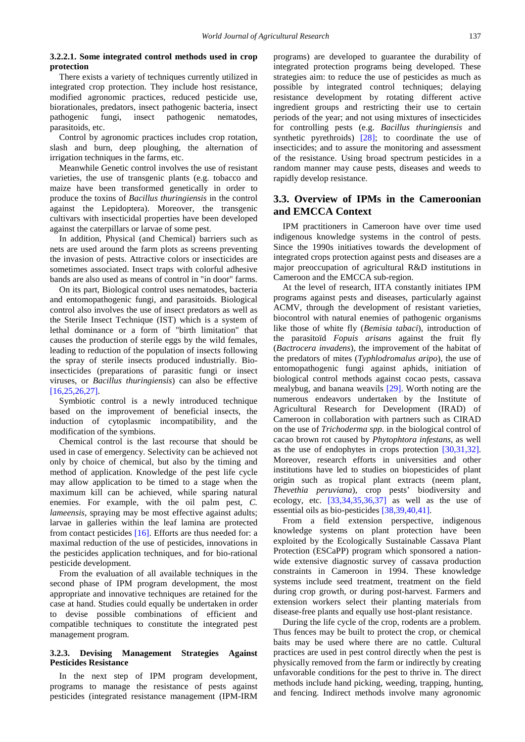#### **3.2.2.1. Some integrated control methods used in crop protection**

There exists a variety of techniques currently utilized in integrated crop protection. They include host resistance, modified agronomic practices, reduced pesticide use, biorationales, predators, insect pathogenic bacteria, insect pathogenic fungi, insect pathogenic nematodes, parasitoids, etc.

Control by agronomic practices includes crop rotation, slash and burn, deep ploughing, the alternation of irrigation techniques in the farms, etc.

Meanwhile Genetic control involves the use of resistant varieties, the use of transgenic plants (e.g. tobacco and maize have been transformed genetically in order to produce the toxins of *Bacillus thuringiensis* in the control against the Lepidoptera). Moreover, the transgenic cultivars with insecticidal properties have been developed against the caterpillars or larvae of some pest.

In addition, Physical (and Chemical) barriers such as nets are used around the farm plots as screens preventing the invasion of pests. Attractive colors or insecticides are sometimes associated. Insect traps with colorful adhesive bands are also used as means of control in "in door" farms.

On its part, Biological control uses nematodes, bacteria and entomopathogenic fungi, and parasitoids. Biological control also involves the use of insect predators as well as the Sterile Insect Technique (IST) which is a system of lethal dominance or a form of "birth limitation" that causes the production of sterile eggs by the wild females, leading to reduction of the population of insects following the spray of sterile insects produced industrially. Bioinsecticides (preparations of parasitic fungi or insect viruses, or *Bacillus thuringiensis*) can also be effective [\[16,25,26,27\].](#page-8-10)

Symbiotic control is a newly introduced technique based on the improvement of beneficial insects, the induction of cytoplasmic incompatibility, and the modification of the symbions.

Chemical control is the last recourse that should be used in case of emergency. Selectivity can be achieved not only by choice of chemical, but also by the timing and method of application. Knowledge of the pest life cycle may allow application to be timed to a stage when the maximum kill can be achieved, while sparing natural enemies. For example, with the oil palm pest, *C. lameensis*, spraying may be most effective against adults; larvae in galleries within the leaf lamina are protected from contact pesticides [\[16\].](#page-8-10) Efforts are thus needed for: a maximal reduction of the use of pesticides, innovations in the pesticides application techniques, and for bio-rational pesticide development.

From the evaluation of all available techniques in the second phase of IPM program development, the most appropriate and innovative techniques are retained for the case at hand. Studies could equally be undertaken in order to devise possible combinations of efficient and compatible techniques to constitute the integrated pest management program.

#### **3.2.3. Devising Management Strategies Against Pesticides Resistance**

In the next step of IPM program development, programs to manage the resistance of pests against pesticides (integrated resistance management (IPM-IRM programs) are developed to guarantee the durability of integrated protection programs being developed. These strategies aim: to reduce the use of pesticides as much as possible by integrated control techniques; delaying resistance development by rotating different active ingredient groups and restricting their use to certain periods of the year; and not using mixtures of insecticides for controlling pests (e.g. *Bacillus thuringiensis* and synthetic pyrethroids) [\[28\];](#page-8-18) to coordinate the use of insecticides; and to assure the monitoring and assessment of the resistance. Using broad spectrum pesticides in a random manner may cause pests, diseases and weeds to rapidly develop resistance.

## **3.3. Overview of IPMs in the Cameroonian and EMCCA Context**

IPM practitioners in Cameroon have over time used indigenous knowledge systems in the control of pests. Since the 1990s initiatives towards the development of integrated crops protection against pests and diseases are a major preoccupation of agricultural R&D institutions in Cameroon and the EMCCA sub-region.

At the level of research, IITA constantly initiates IPM programs against pests and diseases, particularly against ACMV, through the development of resistant varieties, biocontrol with natural enemies of pathogenic organisms like those of white fly (*Bemisia tabaci*), introduction of the parasitoïd *Fopuis arisans* against the fruit fly (*Bactrocera invadens*), the improvement of the habitat of the predators of mites (*Typhlodromalus aripo*), the use of entomopathogenic fungi against aphids, initiation of biological control methods against cocao pests, cassava mealybug, and banana weavils [\[29\].](#page-8-19) Worth noting are the numerous endeavors undertaken by the Institute of Agricultural Research for Development (IRAD) of Cameroon in collaboration with partners such as CIRAD on the use of *Trichoderma spp.* in the biological control of cacao brown rot caused by *Phytophtora infestans*, as well as the use of endophytes in crops protection [\[30,31,32\].](#page-8-20) Moreover, research efforts in universities and other institutions have led to studies on biopesticides of plant origin such as tropical plant extracts (neem plant, *Thevethia peruviana*), crop pests' biodiversity and ecology, etc.  $[33,34,35,36,37]$  as well as the use of essential oils as bio-pesticides [\[38,39,40,41\].](#page-9-0)

From a field extension perspective, indigenous knowledge systems on plant protection have been exploited by the Ecologically Sustainable Cassava Plant Protection (ESCaPP) program which sponsored a nationwide extensive diagnostic survey of cassava production constraints in Cameroon in 1994. These knowledge systems include seed treatment, treatment on the field during crop growth, or during post-harvest. Farmers and extension workers select their planting materials from disease-free plants and equally use host-plant resistance.

During the life cycle of the crop, rodents are a problem. Thus fences may be built to protect the crop, or chemical baits may be used where there are no cattle. Cultural practices are used in pest control directly when the pest is physically removed from the farm or indirectly by creating unfavorable conditions for the pest to thrive in. The direct methods include hand picking, weeding, trapping, hunting, and fencing. Indirect methods involve many agronomic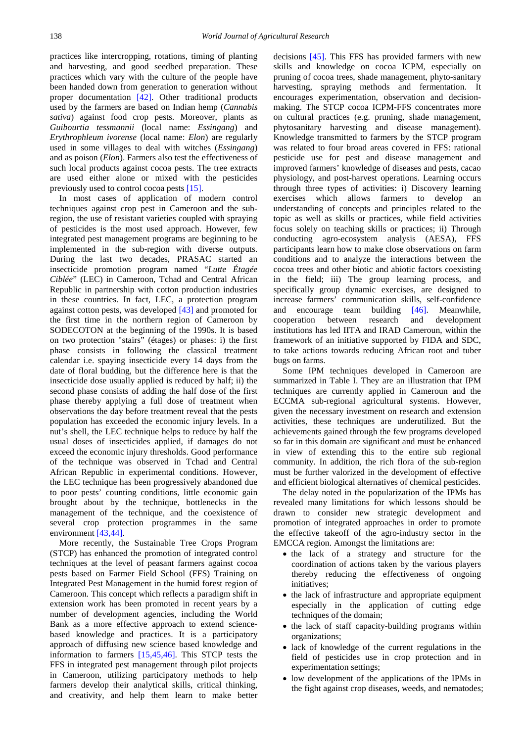practices like intercropping, rotations, timing of planting and harvesting, and good seedbed preparation. These practices which vary with the culture of the people have been handed down from generation to generation without proper documentation [\[42\].](#page-9-1) Other traditional products used by the farmers are based on Indian hemp (*Cannabis sativa*) against food crop pests. Moreover, plants as *Guibourtia tessmannii* (local name: *Essingang*) and *Erythrophleum ivorense* (local name: *Elon*) are regularly used in some villages to deal with witches (*Essingang*) and as poison (*Elon*). Farmers also test the effectiveness of such local products against cocoa pests. The tree extracts are used either alone or mixed with the pesticides previously used to control cocoa pest[s \[15\].](#page-8-8)

In most cases of application of modern control techniques against crop pest in Cameroon and the subregion, the use of resistant varieties coupled with spraying of pesticides is the most used approach. However, few integrated pest management programs are beginning to be implemented in the sub-region with diverse outputs. During the last two decades, PRASAC started an insecticide promotion program named "*Lutte Étagée Ciblée*" (LEC) in Cameroon, Tchad and Central African Republic in partnership with cotton production industries in these countries. In fact, LEC, a protection program against cotton pests, was developed [\[43\]](#page-9-2) and promoted for the first time in the northern region of Cameroon by SODECOTON at the beginning of the 1990s. It is based on two protection "stairs" (étages) or phases: i) the first phase consists in following the classical treatment calendar i.e. spaying insecticide every 14 days from the date of floral budding, but the difference here is that the insecticide dose usually applied is reduced by half; ii) the second phase consists of adding the half dose of the first phase thereby applying a full dose of treatment when observations the day before treatment reveal that the pests population has exceeded the economic injury levels. In a nut's shell, the LEC technique helps to reduce by half the usual doses of insecticides applied, if damages do not exceed the economic injury thresholds. Good performance of the technique was observed in Tchad and Central African Republic in experimental conditions. However, the LEC technique has been progressively abandoned due to poor pests' counting conditions, little economic gain brought about by the technique, bottlenecks in the management of the technique, and the coexistence of several crop protection programmes in the same environmen[t \[43,44\].](#page-9-2)

More recently, the Sustainable Tree Crops Program (STCP) has enhanced the promotion of integrated control techniques at the level of peasant farmers against cocoa pests based on Farmer Field School (FFS) Training on Integrated Pest Management in the humid forest region of Cameroon. This concept which reflects a paradigm shift in extension work has been promoted in recent years by a number of development agencies, including the World Bank as a more effective approach to extend sciencebased knowledge and practices. It is a participatory approach of diffusing new science based knowledge and information to farmers [\[15,45,46\].](#page-8-8) This STCP tests the FFS in integrated pest management through pilot projects in Cameroon, utilizing participatory methods to help farmers develop their analytical skills, critical thinking, and creativity, and help them learn to make better

decisions [\[45\].](#page-9-3) This FFS has provided farmers with new skills and knowledge on cocoa ICPM, especially on pruning of cocoa trees, shade management, phyto-sanitary harvesting, spraying methods and fermentation. It encourages experimentation, observation and decisionmaking. The STCP cocoa ICPM-FFS concentrates more on cultural practices (e.g. pruning, shade management, phytosanitary harvesting and disease management). Knowledge transmitted to farmers by the STCP program was related to four broad areas covered in FFS: rational pesticide use for pest and disease management and improved farmers' knowledge of diseases and pests, cacao physiology, and post-harvest operations. Learning occurs through three types of activities: i) Discovery learning exercises which allows farmers to develop an understanding of concepts and principles related to the topic as well as skills or practices, while field activities focus solely on teaching skills or practices; ii) Through conducting agro-ecosystem analysis (AESA), FFS participants learn how to make close observations on farm conditions and to analyze the interactions between the cocoa trees and other biotic and abiotic factors coexisting in the field; iii) The group learning process, and specifically group dynamic exercises, are designed to increase farmers' communication skills, self-confidence and encourage team building [\[46\].](#page-9-4) Meanwhile, cooperation between research and development institutions has led IITA and IRAD Cameroun, within the framework of an initiative supported by FIDA and SDC, to take actions towards reducing African root and tuber bugs on farms.

Some IPM techniques developed in Cameroon are summarized in Table I. They are an illustration that IPM techniques are currently applied in Cameroun and the ECCMA sub-regional agricultural systems. However, given the necessary investment on research and extension activities, these techniques are underutilized. But the achievements gained through the few programs developed so far in this domain are significant and must be enhanced in view of extending this to the entire sub regional community. In addition, the rich flora of the sub-region must be further valorized in the development of effective and efficient biological alternatives of chemical pesticides.

The delay noted in the popularization of the IPMs has revealed many limitations for which lessons should be drawn to consider new strategic development and promotion of integrated approaches in order to promote the effective takeoff of the agro-industry sector in the EMCCA region. Amongst the limitations are:

- the lack of a strategy and structure for the coordination of actions taken by the various players thereby reducing the effectiveness of ongoing initiatives;
- the lack of infrastructure and appropriate equipment especially in the application of cutting edge techniques of the domain;
- the lack of staff capacity-building programs within organizations;
- lack of knowledge of the current regulations in the field of pesticides use in crop protection and in experimentation settings;
- low development of the applications of the IPMs in the fight against crop diseases, weeds, and nematodes;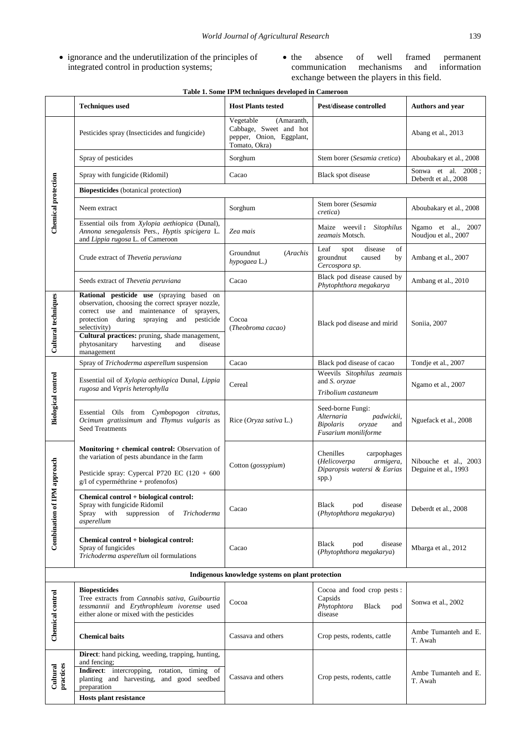- ignorance and the underutilization of the principles of integrated control in production systems;
- the absence of well framed permanent mechanisms and exchange between the players in this field.

| Table 1. Some IPM techniques developed in Cameroon |                                                                                                                                                                                                                                                                                                                         |                                                                                                |                                                                                                            |                                               |  |  |
|----------------------------------------------------|-------------------------------------------------------------------------------------------------------------------------------------------------------------------------------------------------------------------------------------------------------------------------------------------------------------------------|------------------------------------------------------------------------------------------------|------------------------------------------------------------------------------------------------------------|-----------------------------------------------|--|--|
|                                                    | <b>Techniques used</b>                                                                                                                                                                                                                                                                                                  | <b>Host Plants tested</b>                                                                      | Pest/disease controlled                                                                                    | Authors and year                              |  |  |
| Chemical protection                                | Pesticides spray (Insecticides and fungicide)                                                                                                                                                                                                                                                                           | Vegetable<br>(Amaranth,<br>Cabbage, Sweet and hot<br>pepper, Onion, Eggplant,<br>Tomato, Okra) |                                                                                                            | Abang et al., 2013                            |  |  |
|                                                    | Spray of pesticides                                                                                                                                                                                                                                                                                                     | Sorghum                                                                                        | Stem borer (Sesamia cretica)                                                                               | Aboubakary et al., 2008                       |  |  |
|                                                    | Spray with fungicide (Ridomil)                                                                                                                                                                                                                                                                                          | Cacao                                                                                          | Black spot disease                                                                                         | Sonwa et al. 2008;<br>Deberdt et al., 2008    |  |  |
|                                                    | <b>Biopesticides</b> (botanical protection)                                                                                                                                                                                                                                                                             |                                                                                                |                                                                                                            |                                               |  |  |
|                                                    | Neem extract                                                                                                                                                                                                                                                                                                            | Sorghum                                                                                        | Stem borer (Sesamia<br>cretica)                                                                            | Aboubakary et al., 2008                       |  |  |
|                                                    | Essential oils from Xylopia aethiopica (Dunal),<br>Annona senegalensis Pers., Hyptis spicigera L.<br>and Lippia rugosa L. of Cameroon                                                                                                                                                                                   | Zea mais                                                                                       | Maize weevil: Sitophilus<br>zeamais Motsch.                                                                | Ngamo et al., 2007<br>Noudjou et al., 2007    |  |  |
|                                                    | Crude extract of Thevetia peruviana                                                                                                                                                                                                                                                                                     | Groundnut<br>(Arachis<br>hypogaea L.)                                                          | of<br>Leaf<br>disease<br>spot<br>groundnut<br>caused<br>by<br>Cercospora sp.                               | Ambang et al., 2007                           |  |  |
|                                                    | Seeds extract of Thevetia peruviana                                                                                                                                                                                                                                                                                     | Cacao                                                                                          | Black pod disease caused by<br>Phytophthora megakarya                                                      | Ambang et al., 2010                           |  |  |
| Cultural techniques                                | Rational pesticide use (spraying based on<br>observation, choosing the correct sprayer nozzle,<br>correct use and maintenance of sprayers,<br>protection during spraying and pesticide<br>selectivity)<br>Cultural practices: pruning, shade management,<br>phytosanitary<br>harvesting<br>disease<br>and<br>management | Cocoa<br>(Theobroma cacao)                                                                     | Black pod disease and mirid                                                                                | Soniia, 2007                                  |  |  |
|                                                    | Spray of Trichoderma asperellum suspension                                                                                                                                                                                                                                                                              | Cacao                                                                                          | Black pod disease of cacao                                                                                 | Tondje et al., 2007                           |  |  |
| <b>Biological control</b>                          | Essential oil of Xylopia aethiopica Dunal, Lippia<br>rugosa and Vepris heterophylla                                                                                                                                                                                                                                     | Cereal                                                                                         | Weevils Sitophilus zeamais<br>and S. oryzae<br>Tribolium castaneum                                         | Ngamo et al., 2007                            |  |  |
|                                                    | Essential Oils from Cymbopogon citratus,<br>Ocimum gratissimum and Thymus vulgaris as<br><b>Seed Treatments</b>                                                                                                                                                                                                         | Rice (Oryza sativa L.)                                                                         | Seed-borne Fungi:<br>Alternaria<br>padwickii,<br><b>Bipolaris</b><br>oryzae<br>and<br>Fusarium moniliforme | Nguefack et al., 2008                         |  |  |
| approach<br><b>Combination of IPM</b>              | Monitoring + chemical control: Observation of<br>the variation of pests abundance in the farm<br>Pesticide spray: Cypercal P720 EC (120 + 600<br>g/l of cyperméthrine + profenofos)                                                                                                                                     | Cotton (gossypium)                                                                             | Chenilles<br>carpophages<br>(Helicoverpa<br>armigera,<br>Diparopsis watersi & Earias<br>spp.)              | Nibouche et al., 2003<br>Deguine et al., 1993 |  |  |
|                                                    | Chemical control + biological control:<br>Spray with fungicide Ridomil<br>Spray with suppression of Trichoderma<br>asperellum                                                                                                                                                                                           | Cacao                                                                                          | Black<br>disease<br>pod<br>(Phytophthora megakarya)                                                        | Deberdt et al., 2008                          |  |  |
|                                                    | Chemical control + biological control:<br>Spray of fungicides<br>Trichoderma asperellum oil formulations                                                                                                                                                                                                                | Cacao                                                                                          | <b>Black</b><br>pod<br>disease<br>(Phytophthora megakarya)                                                 | Mbarga et al., 2012                           |  |  |
| Indigenous knowledge systems on plant protection   |                                                                                                                                                                                                                                                                                                                         |                                                                                                |                                                                                                            |                                               |  |  |
| Chemical control                                   | <b>Biopesticides</b><br>Tree extracts from Cannabis sativa, Guibourtia<br>tessmannii and Erythrophleum ivorense used<br>either alone or mixed with the pesticides                                                                                                                                                       | Cocoa                                                                                          | Cocoa and food crop pests:<br>Capsids<br>Phytophtora<br>Black<br>pod<br>disease                            | Sonwa et al., 2002                            |  |  |
|                                                    | <b>Chemical baits</b>                                                                                                                                                                                                                                                                                                   | Cassava and others                                                                             | Crop pests, rodents, cattle                                                                                | Ambe Tumanteh and E.<br>T. Awah               |  |  |
| practices<br>Cultural                              | Direct: hand picking, weeding, trapping, hunting,<br>and fencing;<br>Indirect: intercropping, rotation, timing of<br>planting and harvesting, and good seedbed<br>preparation<br>Hosts plant resistance                                                                                                                 | Cassava and others                                                                             | Crop pests, rodents, cattle                                                                                | Ambe Tumanteh and E.<br>T. Awah               |  |  |
|                                                    |                                                                                                                                                                                                                                                                                                                         |                                                                                                |                                                                                                            |                                               |  |  |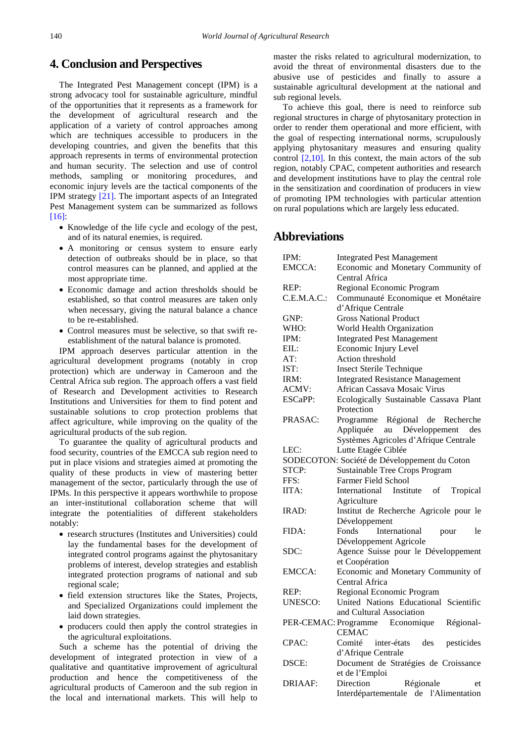# **4. Conclusion and Perspectives**

The Integrated Pest Management concept (IPM) is a strong advocacy tool for sustainable agriculture, mindful of the opportunities that it represents as a framework for the development of agricultural research and the application of a variety of control approaches among which are techniques accessible to producers in the developing countries, and given the benefits that this approach represents in terms of environmental protection and human security. The selection and use of control methods, sampling or monitoring procedures, and economic injury levels are the tactical components of the IPM strategy [\[21\].](#page-8-15) The important aspects of an Integrated Pest Management system can be summarized as follows [\[16\]:](#page-8-10)

- Knowledge of the life cycle and ecology of the pest, and of its natural enemies, is required.
- A monitoring or census system to ensure early detection of outbreaks should be in place, so that control measures can be planned, and applied at the most appropriate time.
- Economic damage and action thresholds should be established, so that control measures are taken only when necessary, giving the natural balance a chance to be re-established.
- Control measures must be selective, so that swift reestablishment of the natural balance is promoted.

IPM approach deserves particular attention in the agricultural development programs (notably in crop protection) which are underway in Cameroon and the Central Africa sub region. The approach offers a vast field of Research and Development activities to Research Institutions and Universities for them to find potent and sustainable solutions to crop protection problems that affect agriculture, while improving on the quality of the agricultural products of the sub region.

To guarantee the quality of agricultural products and food security, countries of the EMCCA sub region need to put in place visions and strategies aimed at promoting the quality of these products in view of mastering better management of the sector, particularly through the use of IPMs. In this perspective it appears worthwhile to propose an inter-institutional collaboration scheme that will integrate the potentialities of different stakeholders notably:

- research structures (Institutes and Universities) could lay the fundamental bases for the development of integrated control programs against the phytosanitary problems of interest, develop strategies and establish integrated protection programs of national and sub regional scale;
- field extension structures like the States, Projects, and Specialized Organizations could implement the laid down strategies.
- producers could then apply the control strategies in the agricultural exploitations.

Such a scheme has the potential of driving the development of integrated protection in view of a qualitative and quantitative improvement of agricultural production and hence the competitiveness of the agricultural products of Cameroon and the sub region in the local and international markets. This will help to

master the risks related to agricultural modernization, to avoid the threat of environmental disasters due to the abusive use of pesticides and finally to assure a sustainable agricultural development at the national and sub regional levels.

To achieve this goal, there is need to reinforce sub regional structures in charge of phytosanitary protection in order to render them operational and more efficient, with the goal of respecting international norms, scrupulously applying phytosanitary measures and ensuring quality control [\[2,10\].](#page-8-1) In this context, the main actors of the sub region, notably CPAC, competent authorities and research and development institutions have to play the central role in the sensitization and coordination of producers in view of promoting IPM technologies with particular attention on rural populations which are largely less educated.

# **Abbreviations**

| IPM:           | <b>Integrated Pest Management</b>            |
|----------------|----------------------------------------------|
| EMCCA:         | Economic and Monetary Community of           |
|                | Central Africa                               |
| REP:           | Regional Economic Program                    |
| C.E.M.A.C.     | Communauté Economique et Monétaire           |
|                | d'Afrique Centrale                           |
| GNP:           | <b>Gross National Product</b>                |
| WHO:           | World Health Organization                    |
| IPM:           | <b>Integrated Pest Management</b>            |
| EIL:           | Economic Injury Level                        |
| AT:            | Action threshold                             |
| IST:           | <b>Insect Sterile Technique</b>              |
| IRM:           | <b>Integrated Resistance Management</b>      |
| ACMV:          | African Cassava Mosaic Virus                 |
| ESCaPP:        | Ecologically Sustainable Cassava Plant       |
|                | Protection                                   |
| PRASAC:        | Programme Régional de Recherche              |
|                | Appliquée au Développement des               |
|                | Systèmes Agricoles d'Afrique Centrale        |
| LEC:           | Lutte Etagée Ciblée                          |
|                |                                              |
| STCP:          | SODECOTON: Société de Développement du Coton |
|                | Sustainable Tree Crops Program               |
| FFS:           | <b>Farmer Field School</b>                   |
| IITA:          | International Institute<br>Tropical<br>of    |
|                | Agriculture                                  |
| IRAD:          | Institut de Recherche Agricole pour le       |
|                | Développement                                |
| FIDA:          | Fonds<br>International<br>le<br>pour         |
|                | Développement Agricole                       |
| SDC:           | Agence Suisse pour le Développement          |
|                | et Coopération                               |
| EMCCA:         | Economic and Monetary Community of           |
|                | Central Africa                               |
| REP:           | Regional Economic Program                    |
| <b>UNESCO:</b> | United Nations Educational Scientific        |
|                | and Cultural Association                     |
|                | PER-CEMAC: Programme Economique<br>Régional- |
|                | <b>CEMAC</b>                                 |
| CPAC:          | Comité<br>inter-états<br>des<br>pesticides   |
|                | d'Afrique Centrale                           |
| DSCE:          | Document de Stratégies de Croissance         |
|                | et de l'Emploi                               |
| <b>DRIAAF:</b> | Direction<br>Régionale<br>et                 |
|                | Interdépartementale de l'Alimentation        |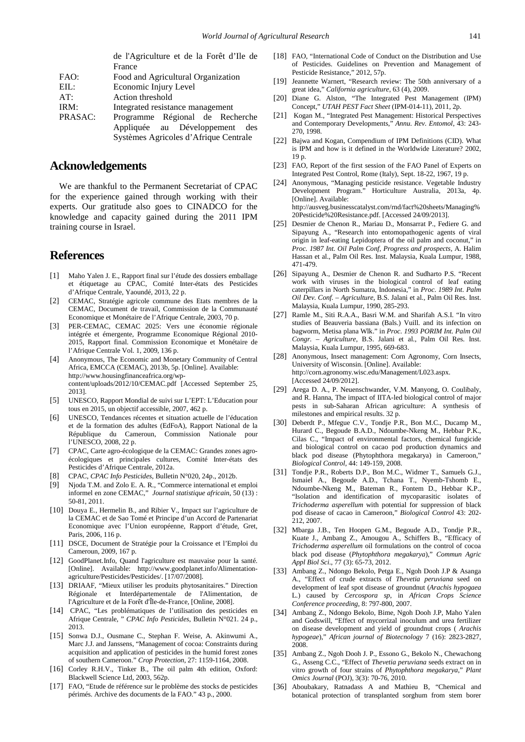|         | de l'Agriculture et de la Forêt d'Ile de |
|---------|------------------------------------------|
|         | France                                   |
| FAO:    | Food and Agricultural Organization       |
| EIL:    | Economic Injury Level                    |
| AT:     | Action threshold                         |
| IRM:    | Integrated resistance management         |
| PRASAC: | Programme Régional de Recherche          |
|         | Appliquée au Développement des           |
|         | Systèmes Agricoles d'Afrique Centrale    |

## **Acknowledgements**

We are thankful to the Permanent Secretariat of CPAC for the experience gained through working with their experts. Our gratitude also goes to CINADCO for the knowledge and capacity gained during the 2011 IPM training course in Israel.

# **References**

- <span id="page-8-0"></span>[1] Maho Yalen J. E., Rapport final sur l'étude des dossiers emballage et étiquetage au CPAC, Comité Inter-états des Pesticides d'Afrique Centrale, Yaoundé, 2013, 22 p.
- <span id="page-8-1"></span>[2] CEMAC, Stratégie agricole commune des Etats membres de la CEMAC, Document de travail, Commission de la Communauté Economique et Monétaire de l'Afrique Centrale, 2003, 70 p.
- <span id="page-8-3"></span>[3] PER-CEMAC, CEMAC 2025: Vers une économie régionale intégrée et émergente, Programme Economique Régional 2010- 2015, Rapport final. Commission Economique et Monétaire de l'Afrique Centrale Vol. 1, 2009, 136 p.
- <span id="page-8-2"></span>[4] Anonymous, The Economic and Monetary Community of Central Africa, EMCCA (CEMAC), 2013b, 5p. [Online]. Available: http://www.housingfinanceafrica.org/wpcontent/uploads/2012/10/CEMAC.pdf [Accessed September 25, 2013].
- [5] UNESCO, Rapport Mondial de suivi sur L'EPT: L'Education pour tous en 2015, un objectif accessible, 2007, 462 p.
- [6] UNESCO, Tendances récentes et situation actuelle de l'éducation et de la formation des adultes (EdFoA), Rapport National de la République du Cameroun, Commission Nationale pour l'UNESCO, 2008, 22 p.
- <span id="page-8-9"></span>[7] CPAC, Carte agro-écologique de la CEMAC: Grandes zones agroécologiques et principales cultures, Comité Inter-états des Pesticides d'Afrique Centrale, 2012a.
- [8] CPAC, *CPAC Info Pesticides*, Bulletin N°020, 24p., 2012b.
- [9] Njoda T.M. and Zolo E. A. R., "Commerce international et emploi informel en zone CEMAC," *Journal statistique africain*, 50 (13) : 50-81, 2011.
- [10] Douya E., Hermelin B., and Ribier V., Impact sur l'agriculture de la CEMAC et de Sao Tomé et Principe d'un Accord de Partenariat Economique avec l'Union européenne, Rapport d'étude, Gret, Paris, 2006, 116 p.
- <span id="page-8-4"></span>[11] DSCE, Document de Stratégie pour la Croissance et l'Emploi du Cameroun, 2009, 167 p.
- <span id="page-8-5"></span>[12] GoodPlanet.Info, Quand l'agriculture est mauvaise pour la santé. [Online]. Available: http://www.goodplanet.info/Alimentationagriculture/Pesticides/Pesticides/. [17/07/2008].
- <span id="page-8-6"></span>[13] DRIAAF, "Mieux utiliser les produits phytosanitaires." Direction Régionale et Interdépartementale de l'Alimentation, de l'Agriculture et de la Forêt d'Île-de-France, [Online, 2008].
- <span id="page-8-7"></span>[14] CPAC, "Les problématiques de l'utilisation des pesticides en Afrique Centrale, " *CPAC Info Pesticides*, Bulletin N°021. 24 p., 2013.
- <span id="page-8-8"></span>[15] Sonwa D.J., Ousmane C., Stephan F. Weise, A. Akinwumi A., Marc J.J. and Janssens, "Management of cocoa: Constraints during acquisition and application of pesticides in the humid forest zones of southern Cameroon." *Crop Protection*, 27: 1159-1164, 2008.
- <span id="page-8-10"></span>[16] Corley R.H.V., Tinker B., The oil palm 4th edition, Oxford: Blackwell Science Ltd, 2003, 562p.
- <span id="page-8-11"></span>[17] FAO, "Etude de référence sur le problème des stocks de pesticides périmés. Archive des documents de la FAO." 43 p., 2000.
- <span id="page-8-12"></span>[18] FAO, "International Code of Conduct on the Distribution and Use of Pesticides. Guidelines on Prevention and Management of Pesticide Resistance," 2012, 57p.
- <span id="page-8-13"></span>[19] Jeannette Warnert, "Research review: The 50th anniversary of a great idea," *California agriculture*, 63 (4), 2009.
- <span id="page-8-14"></span>[20] Diane G. Alston, "The Integrated Pest Management (IPM) Concept," *UTAH PEST Fact Sheet* (IPM-014-11), 2011, 2p.
- <span id="page-8-15"></span>[21] Kogan M., "Integrated Pest Management: Historical Perspectives and Contemporary Developments," *Annu. Rev. Entomol*, 43: 243- 270, 1998.
- [22] Bajwa and Kogan, Compendium of IPM Definitions (CID). What is IPM and how is it defined in the Worldwide Literature? 2002, 19 p.
- <span id="page-8-16"></span>[23] FAO, Report of the first session of the FAO Panel of Experts on Integrated Pest Control, Rome (Italy), Sept. 18-22, 1967, 19 p.
- <span id="page-8-17"></span>[24] Anonymous, "Managing pesticide resistance. Vegetable Industry Development Program." Horticulture Australia, 2013a, 4p. [Online]. Available: http://ausveg.businesscatalyst.com/rnd/fact%20sheets/Managing% 20Pesticide%20Resistance.pdf. [Accessed 24/09/2013].
- [25] Desmier de Chenon R., Mariau D., Monsarrat P., Fediere G. and Sipayung A., "Research into entomopathogenic agents of viral origin in leaf-eating Lepidoptera of the oil palm and coconut," in *Proc. 1987 Int. Oil Palm Conf, Progress and prospects,* A. Halim Hassan et al., Palm Oil Res. Inst. Malaysia, Kuala Lumpur, 1988, 471-479.
- [26] Sipayung A., Desmier de Chenon R. and Sudharto P.S. "Recent work with viruses in the biological control of leaf eating caterpillars in North Sumatra, Indonesia," in *Proc. 1989 Int. Palm Oil Dev. Conf. – Agriculture,* B.S. Jalani et al., Palm Oil Res. Inst. Malaysia, Kuala Lumpur, 1990, 285-293.
- [27] Ramle M., Siti R.A.A., Basri W.M. and Sharifah A.S.I. "In vitro studies of Beauveria bassiana (Bals.) Vuill. and its infection on bagworm, Metisa plana Wlk." in *Proc. 1993 PORIM Int. Palm Oil Congr. – Agriculture,* B.S. Jalani et al., Palm Oil Res. Inst. Malaysia, Kuala Lumpur, 1995, 669-683.
- <span id="page-8-18"></span>[28] Anonymous, Insect management: Corn Agronomy, Corn Insects, University of Wisconsin. [Online]. Available: http://corn.agronomy.wisc.edu/Management/L023.aspx. [Accessed 24/09/2012].
- <span id="page-8-19"></span>[29] Arega D. A., P. Neuenschwander, V.M. Manyong, O. Coulibaly, and R. Hanna, The impact of IITA-led biological control of major pests in sub-Saharan African agriculture: A synthesis of milestones and empirical results. 32 p.
- <span id="page-8-20"></span>[30] Deberdt P., Mfegue C.V., Tondje P.R., Bon M.C., Ducamp M., Hurard C., Begoude B.A.D., Ndoumbe-Nkeng M., Hebbar P.K., Cilas C., "Impact of environmental factors, chemical fungicide and biological control on cacao pod production dynamics and black pod disease (Phytophthora megakarya) in Cameroon," *Biological Control,* 44: 149-159, 2008.
- [31] Tondje P.R., Roberts D.P., Bon M.C., Widmer T., Samuels G.J., Ismaiel A., Begoude A.D., Tchana T., Nyemb-Tshomb E., Ndoumbe-Nkeng M., Bateman R., Fontem D., Hebbar K.P., "Isolation and identification of mycoparasitic isolates of *Trichoderma asperellum* with potential for suppression of black pod disease of cacao in Cameroon," *Biological Control* 43: 202- 212, 2007.
- [32] Mbarga J.B., Ten Hoopen G.M., Begoude A.D., Tondje P.R., Kuate J., Ambang Z., Amougou A., Schiffers B., "Efficacy of *Trichoderma asperellum* oil formulations on the control of cocoa black pod disease (*Phytophthora megakarya*)," *Commun Agric Appl Biol Sci*., 77 (3): 65-73, 2012.
- <span id="page-8-21"></span>[33] Ambang Z., Ndongo Bekolo, Petga E., Ngoh Dooh J.P & Asanga A., "Effect of crude extracts of *Thevetia peruviana* seed on development of leaf spot disease of groundnut (*Arachis hypogaea* L.) caused by *Cercospora sp*, in *African Crops Science Conference proceeding*, 8: 797-800, 2007.
- [34] Ambang Z., Ndongo Bekolo, Bime, Ngoh Dooh J.P, Maho Yalen and Godswill, "Effect of mycorrizal inoculum and urea fertilizer on disease development and yield of groundnut crops ( *Arachis hypogeae*)," *African journal of Biotecnology* 7 (16): 2823-2827, 2008.
- [35] Ambang Z., Ngoh Dooh J. P., Essono G., Bekolo N., Chewachong G., Asseng C.C., "Effect of *Thevetia peruviana* seeds extract on in vitro growth of four strains of *Phytophthora megakarya*," *Plant Omics Journal* (POJ), 3(3): 70-76, 2010.
- [36] Aboubakary, Ratnadass A and Mathieu B, "Chemical and botanical protection of transplanted sorghum from stem borer